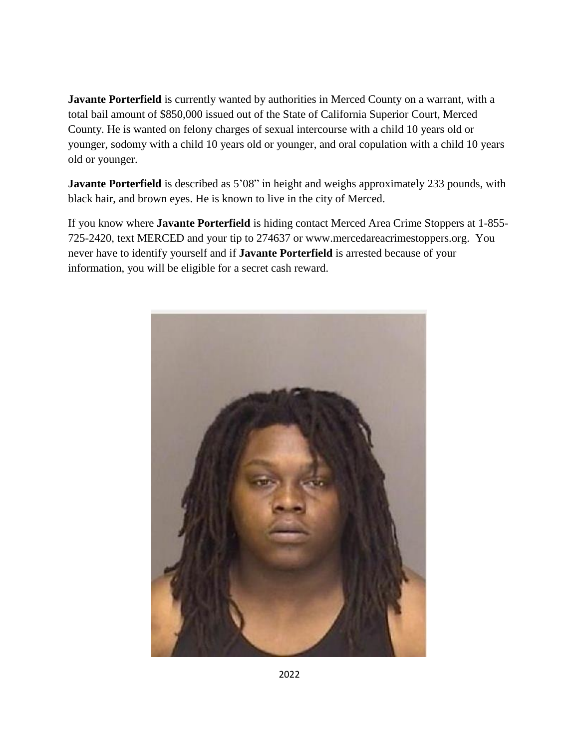**Javante Porterfield** is currently wanted by authorities in Merced County on a warrant, with a total bail amount of \$850,000 issued out of the State of California Superior Court, Merced County. He is wanted on felony charges of sexual intercourse with a child 10 years old or younger, sodomy with a child 10 years old or younger, and oral copulation with a child 10 years old or younger.

**Javante Porterfield** is described as 5'08" in height and weighs approximately 233 pounds, with black hair, and brown eyes. He is known to live in the city of Merced.

If you know where **Javante Porterfield** is hiding contact Merced Area Crime Stoppers at 1-855- 725-2420, text MERCED and your tip to 274637 or www.mercedareacrimestoppers.org. You never have to identify yourself and if **Javante Porterfield** is arrested because of your information, you will be eligible for a secret cash reward.